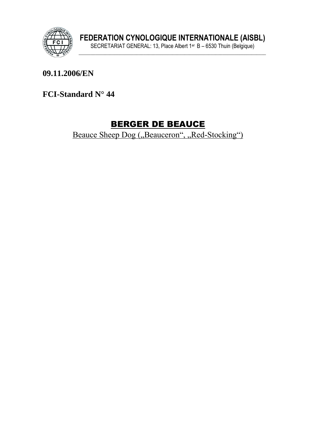

### 09.11.2006/EN

### FCI-Standard N° 44

# **BERGER DE BEAUCE**

Beauce Sheep Dog ("Beauceron", "Red-Stocking")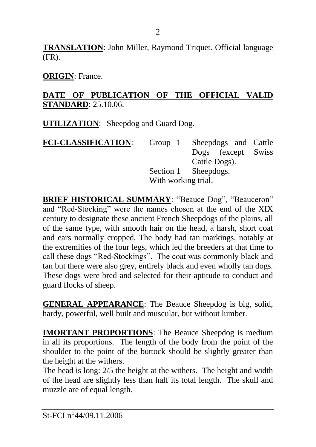**TRANSLATION**: John Miller, Raymond Triquet. Official language (FR).

**ORIGIN**: France.

### **DATE OF PUBLICATION OF THE OFFICIAL VALID STANDARD**: 25.10.06.

**UTILIZATION**: Sheepdog and Guard Dog.

| <b>FCI-CLASSIFICATION:</b> |                     | Group 1 Sheepdogs and Cattle |  |
|----------------------------|---------------------|------------------------------|--|
|                            |                     | Dogs (except Swiss           |  |
|                            |                     | Cattle Dogs).                |  |
|                            |                     | Section 1 Sheepdogs.         |  |
|                            | With working trial. |                              |  |

**BRIEF HISTORICAL SUMMARY**: "Beauce Dog", "Beauceron" and "Red-Stocking" were the names chosen at the end of the XIX century to designate these ancient French Sheepdogs of the plains, all of the same type, with smooth hair on the head, a harsh, short coat and ears normally cropped. The body had tan markings, notably at the extremities of the four legs, which led the breeders at that time to call these dogs "Red-Stockings". The coat was commonly black and tan but there were also grey, entirely black and even wholly tan dogs. These dogs were bred and selected for their aptitude to conduct and guard flocks of sheep.

**GENERAL APPEARANCE**: The Beauce Sheepdog is big, solid, hardy, powerful, well built and muscular, but without lumber.

**IMORTANT PROPORTIONS**: The Beauce Sheepdog is medium in all its proportions. The length of the body from the point of the shoulder to the point of the buttock should be slightly greater than the height at the withers.

The head is long: 2/5 the height at the withers. The height and width of the head are slightly less than half its total length. The skull and muzzle are of equal length.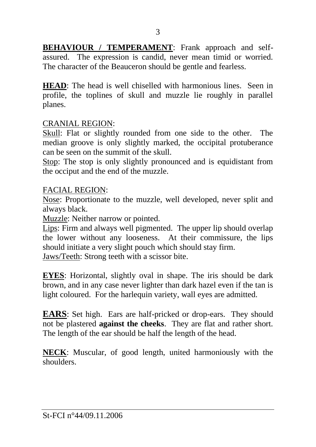**BEHAVIOUR / TEMPERAMENT:** Frank approach and selfassured. The expression is candid, never mean timid or worried. The character of the Beauceron should be gentle and fearless.

**HEAD**: The head is well chiselled with harmonious lines. Seen in profile, the toplines of skull and muzzle lie roughly in parallel planes.

#### CRANIAL REGION:

Skull: Flat or slightly rounded from one side to the other. The median groove is only slightly marked, the occipital protuberance can be seen on the summit of the skull.

Stop: The stop is only slightly pronounced and is equidistant from the occiput and the end of the muzzle.

#### FACIAL REGION:

Nose: Proportionate to the muzzle, well developed, never split and always black.

Muzzle: Neither narrow or pointed.

Lips: Firm and always well pigmented. The upper lip should overlap the lower without any looseness. At their commissure, the lips should initiate a very slight pouch which should stay firm.

Jaws/Teeth: Strong teeth with a scissor bite.

**EYES**: Horizontal, slightly oval in shape. The iris should be dark brown, and in any case never lighter than dark hazel even if the tan is light coloured. For the harlequin variety, wall eyes are admitted.

**EARS**: Set high. Ears are half-pricked or drop-ears. They should not be plastered **against the cheeks**. They are flat and rather short. The length of the ear should be half the length of the head.

**NECK**: Muscular, of good length, united harmoniously with the shoulders.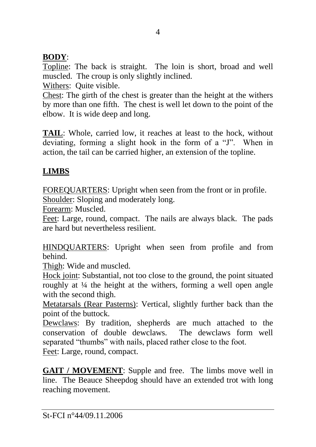## **BODY**:

Topline: The back is straight. The loin is short, broad and well muscled. The croup is only slightly inclined.

Withers: Quite visible.

Chest: The girth of the chest is greater than the height at the withers by more than one fifth. The chest is well let down to the point of the elbow. It is wide deep and long.

**TAIL**: Whole, carried low, it reaches at least to the hock, without deviating, forming a slight hook in the form of a "J". When in action, the tail can be carried higher, an extension of the topline.

# **LIMBS**

FOREQUARTERS: Upright when seen from the front or in profile.

Shoulder: Sloping and moderately long.

Forearm: Muscled.

Feet: Large, round, compact. The nails are always black. The pads are hard but nevertheless resilient.

HINDQUARTERS: Upright when seen from profile and from behind.

Thigh: Wide and muscled.

Hock joint: Substantial, not too close to the ground, the point situated roughly at ¼ the height at the withers, forming a well open angle with the second thigh.

Metatarsals (Rear Pasterns): Vertical, slightly further back than the point of the buttock.

Dewclaws: By tradition, shepherds are much attached to the conservation of double dewclaws. The dewclaws form well separated "thumbs" with nails, placed rather close to the foot.

Feet: Large, round, compact.

**GAIT / MOVEMENT**: Supple and free. The limbs move well in line. The Beauce Sheepdog should have an extended trot with long reaching movement.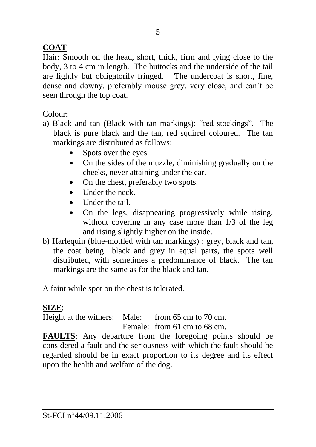## **COAT**

Hair: Smooth on the head, short, thick, firm and lying close to the body, 3 to 4 cm in length. The buttocks and the underside of the tail are lightly but obligatorily fringed. The undercoat is short, fine, dense and downy, preferably mouse grey, very close, and can't be seen through the top coat.

### Colour:

- a) Black and tan (Black with tan markings): "red stockings". The black is pure black and the tan, red squirrel coloured. The tan markings are distributed as follows:
	- Spots over the eyes.
	- On the sides of the muzzle, diminishing gradually on the cheeks, never attaining under the ear.
	- On the chest, preferably two spots.
	- Under the neck.
	- Under the tail
	- On the legs, disappearing progressively while rising. without covering in any case more than 1/3 of the leg and rising slightly higher on the inside.
- b) Harlequin (blue-mottled with tan markings) : grey, black and tan, the coat being black and grey in equal parts, the spots well distributed, with sometimes a predominance of black. The tan markings are the same as for the black and tan.

A faint while spot on the chest is tolerated.

# **SIZE**:

Height at the withers: Male: from 65 cm to 70 cm. Female: from 61 cm to 68 cm.

**FAULTS**: Any departure from the foregoing points should be considered a fault and the seriousness with which the fault should be regarded should be in exact proportion to its degree and its effect upon the health and welfare of the dog.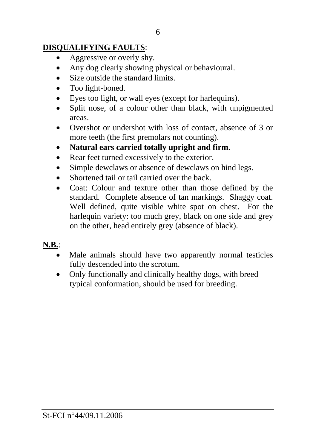## **DISQUALIFYING FAULTS**:

- Aggressive or overly shy.
- Any dog clearly showing physical or behavioural.
- Size outside the standard limits.
- Too light-boned.
- Eyes too light, or wall eyes (except for harlequins).
- Split nose, of a colour other than black, with unpigmented areas.
- Overshot or undershot with loss of contact, absence of 3 or more teeth (the first premolars not counting).
- **Natural ears carried totally upright and firm.**
- Rear feet turned excessively to the exterior.
- Simple dewclaws or absence of dewclaws on hind legs.
- Shortened tail or tail carried over the back.
- Coat: Colour and texture other than those defined by the standard. Complete absence of tan markings. Shaggy coat. Well defined, quite visible white spot on chest. For the harlequin variety: too much grey, black on one side and grey on the other, head entirely grey (absence of black).

## **N.B.**:

- Male animals should have two apparently normal testicles fully descended into the scrotum.
- Only functionally and clinically healthy dogs, with breed typical conformation, should be used for breeding.